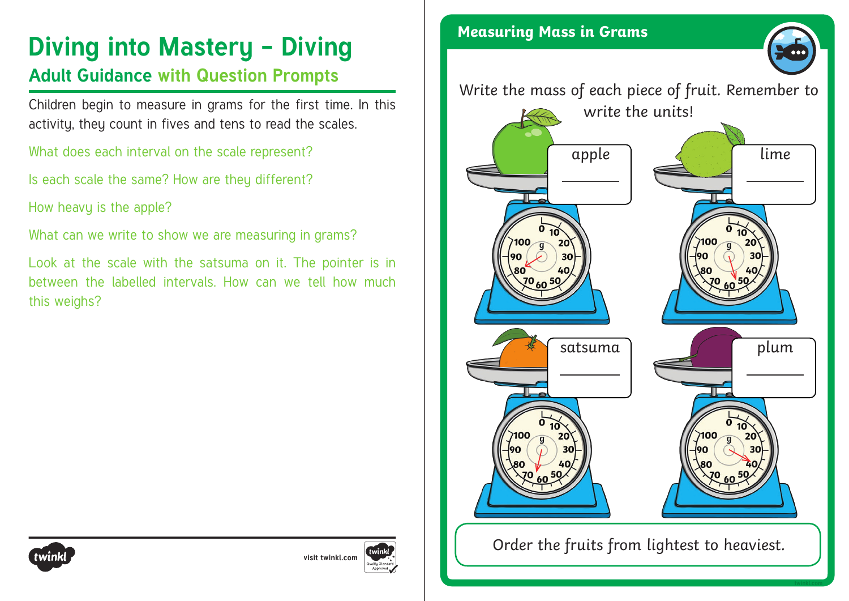# **Diving into Mastery - Diving Constitution Constraint Mass in Grams**

### **Adult Guidance with Question Prompts**

Children begin to measure in grams for the first time. In this activity, they count in fives and tens to read the scales.

What does each interval on the scale represent?

Is each scale the same? How are they different?

How heavy is the apple?

What can we write to show we are measuring in grams?

Look at the scale with the satsuma on it. The pointer is in between the labelled intervals. How can we tell how much this weighs?







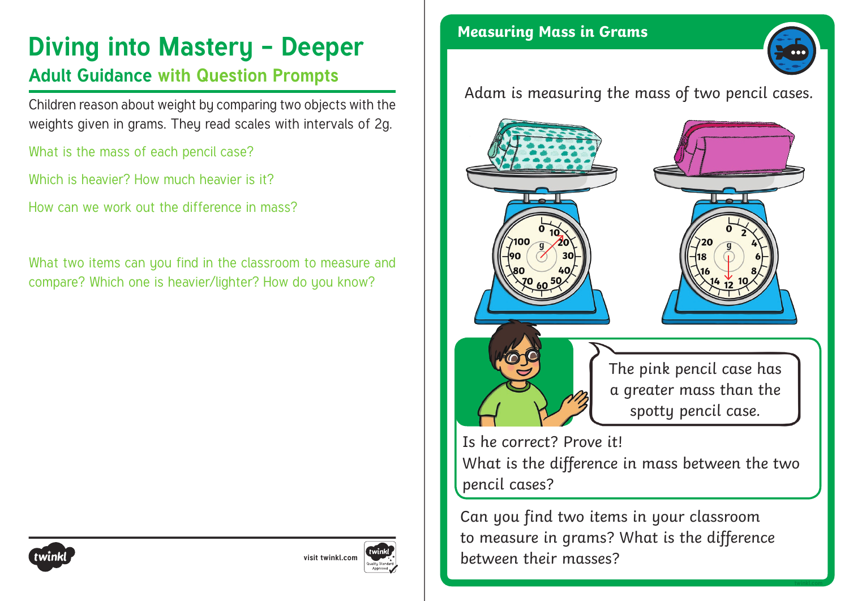## **Diving into Mastery - Deeper** Measuring Mass in Grams

### **Adult Guidance with Question Prompts**

Children reason about weight by comparing two objects with the weights given in grams. They read scales with intervals of 2g.

What is the mass of each pencil case?

Which is heavier? How much heavier is it?

How can we work out the difference in mass?

What two items can you find in the classroom to measure and compare? Which one is heavier/lighter? How do you know?



Adam is measuring the mass of two pencil cases.



Is he correct? Prove it! What is the difference in mass between the two pencil cases?

Can you find two items in your classroom to measure in grams? What is the difference between their masses?